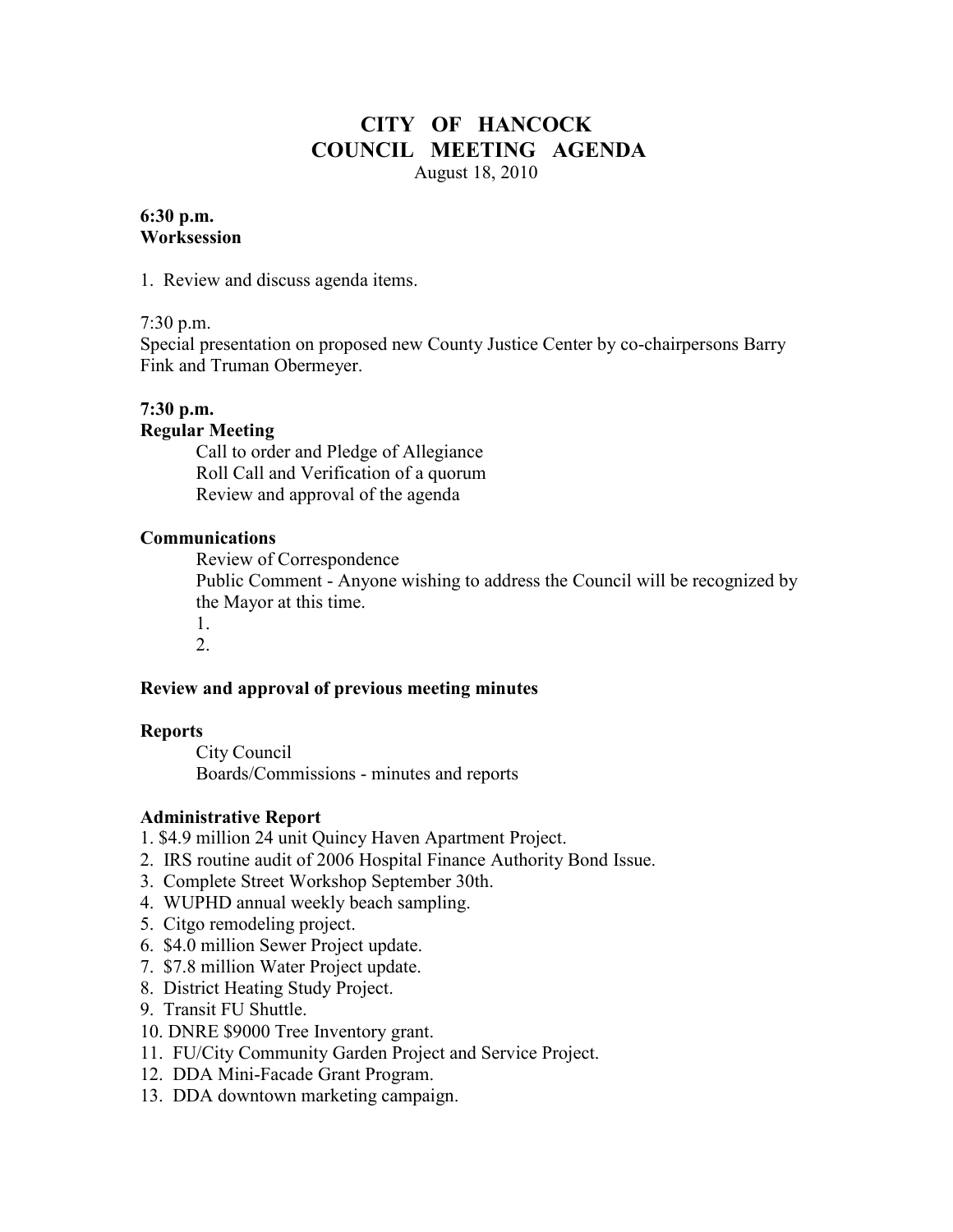# **CITY OF HANCOCK COUNCIL MEETING AGENDA**  August 18, 2010

#### **6:30 p.m. Worksession**

1. Review and discuss agenda items.

#### 7:30 p.m.

Special presentation on proposed new County Justice Center by co-chairpersons Barry Fink and Truman Obermeyer.

# **7:30 p.m.**

#### **Regular Meeting**

 Call to order and Pledge of Allegiance Roll Call and Verification of a quorum Review and approval of the agenda

### **Communications**

 Review of Correspondence Public Comment - Anyone wishing to address the Council will be recognized by the Mayor at this time. 1.

2.

### **Review and approval of previous meeting minutes**

#### **Reports**

City Council Boards/Commissions - minutes and reports

### **Administrative Report**

1. \$4.9 million 24 unit Quincy Haven Apartment Project.

- 2. IRS routine audit of 2006 Hospital Finance Authority Bond Issue.
- 3. Complete Street Workshop September 30th.
- 4. WUPHD annual weekly beach sampling.
- 5. Citgo remodeling project.
- 6. \$4.0 million Sewer Project update.
- 7. \$7.8 million Water Project update.
- 8. District Heating Study Project.
- 9. Transit FU Shuttle.
- 10. DNRE \$9000 Tree Inventory grant.
- 11. FU/City Community Garden Project and Service Project.
- 12. DDA Mini-Facade Grant Program.
- 13. DDA downtown marketing campaign.